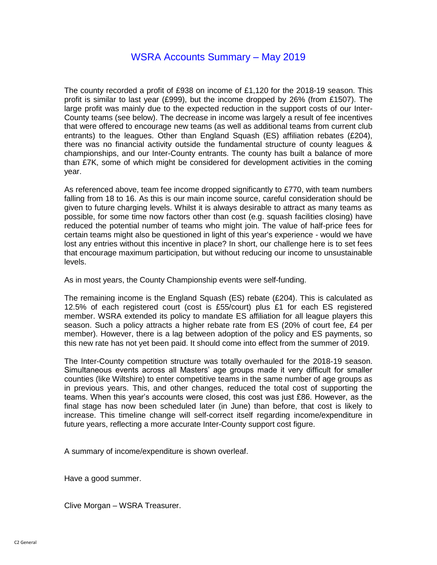The county recorded a profit of £938 on income of £1,120 for the 2018-19 season. This profit is similar to last year (£999), but the income dropped by 26% (from £1507). The large profit was mainly due to the expected reduction in the support costs of our Inter-County teams (see below). The decrease in income was largely a result of fee incentives that were offered to encourage new teams (as well as additional teams from current club entrants) to the leagues. Other than England Squash (ES) affiliation rebates (£204), there was no financial activity outside the fundamental structure of county leagues & championships, and our Inter-County entrants. The county has built a balance of more than £7K, some of which might be considered for development activities in the coming year.

As referenced above, team fee income dropped significantly to £770, with team numbers falling from 18 to 16. As this is our main income source, careful consideration should be given to future charging levels. Whilst it is always desirable to attract as many teams as possible, for some time now factors other than cost (e.g. squash facilities closing) have reduced the potential number of teams who might join. The value of half-price fees for certain teams might also be questioned in light of this year's experience - would we have lost any entries without this incentive in place? In short, our challenge here is to set fees that encourage maximum participation, but without reducing our income to unsustainable levels.

As in most years, the County Championship events were self-funding.

The remaining income is the England Squash (ES) rebate (£204). This is calculated as 12.5% of each registered court (cost is £55/court) plus £1 for each ES registered member. WSRA extended its policy to mandate ES affiliation for all league players this season. Such a policy attracts a higher rebate rate from ES (20% of court fee, £4 per member). However, there is a lag between adoption of the policy and ES payments, so this new rate has not yet been paid. It should come into effect from the summer of 2019.

The Inter-County competition structure was totally overhauled for the 2018-19 season. Simultaneous events across all Masters' age groups made it very difficult for smaller counties (like Wiltshire) to enter competitive teams in the same number of age groups as in previous years. This, and other changes, reduced the total cost of supporting the teams. When this year's accounts were closed, this cost was just £86. However, as the final stage has now been scheduled later (in June) than before, that cost is likely to increase. This timeline change will self-correct itself regarding income/expenditure in future years, reflecting a more accurate Inter-County support cost figure.

A summary of income/expenditure is shown overleaf.

Have a good summer.

Clive Morgan – WSRA Treasurer.